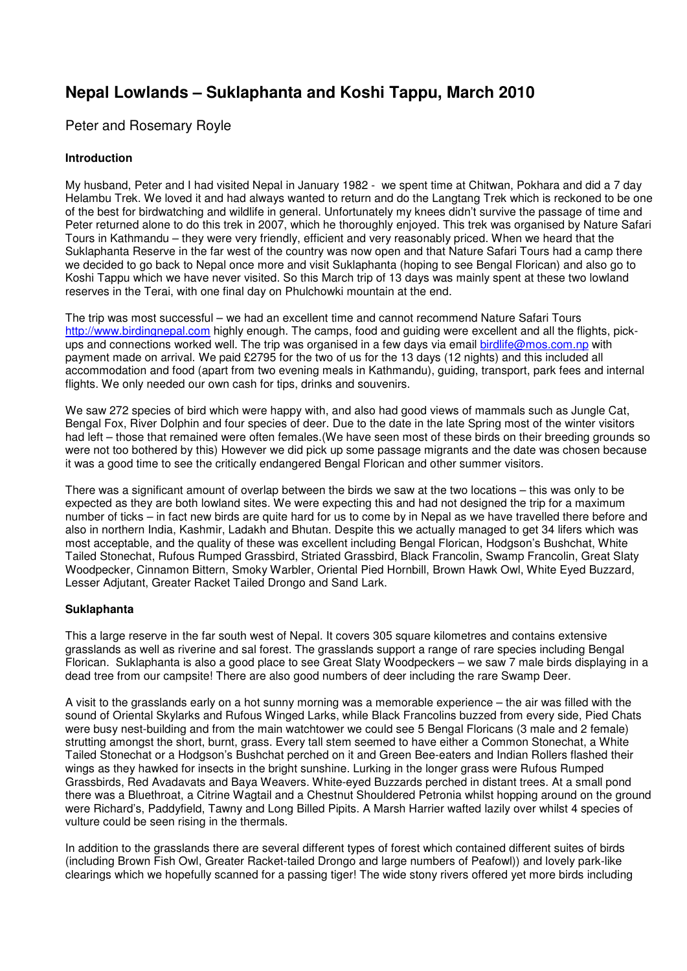# **Nepal Lowlands – Suklaphanta and Koshi Tappu, March 2010**

# Peter and Rosemary Royle

# **Introduction**

My husband, Peter and I had visited Nepal in January 1982 - we spent time at Chitwan, Pokhara and did a 7 day Helambu Trek. We loved it and had always wanted to return and do the Langtang Trek which is reckoned to be one of the best for birdwatching and wildlife in general. Unfortunately my knees didn't survive the passage of time and Peter returned alone to do this trek in 2007, which he thoroughly enjoyed. This trek was organised by Nature Safari Tours in Kathmandu – they were very friendly, efficient and very reasonably priced. When we heard that the Suklaphanta Reserve in the far west of the country was now open and that Nature Safari Tours had a camp there we decided to go back to Nepal once more and visit Suklaphanta (hoping to see Bengal Florican) and also go to Koshi Tappu which we have never visited. So this March trip of 13 days was mainly spent at these two lowland reserves in the Terai, with one final day on Phulchowki mountain at the end.

The trip was most successful – we had an excellent time and cannot recommend Nature Safari Tours http://www.birdingnepal.com highly enough. The camps, food and guiding were excellent and all the flights, pickups and connections worked well. The trip was organised in a few days via email birdlife@mos.com.np with payment made on arrival. We paid £2795 for the two of us for the 13 days (12 nights) and this included all accommodation and food (apart from two evening meals in Kathmandu), guiding, transport, park fees and internal flights. We only needed our own cash for tips, drinks and souvenirs.

We saw 272 species of bird which were happy with, and also had good views of mammals such as Jungle Cat, Bengal Fox, River Dolphin and four species of deer. Due to the date in the late Spring most of the winter visitors had left – those that remained were often females. (We have seen most of these birds on their breeding grounds so were not too bothered by this) However we did pick up some passage migrants and the date was chosen because it was a good time to see the critically endangered Bengal Florican and other summer visitors.

There was a significant amount of overlap between the birds we saw at the two locations – this was only to be expected as they are both lowland sites. We were expecting this and had not designed the trip for a maximum number of ticks – in fact new birds are quite hard for us to come by in Nepal as we have travelled there before and also in northern India, Kashmir, Ladakh and Bhutan. Despite this we actually managed to get 34 lifers which was most acceptable, and the quality of these was excellent including Bengal Florican, Hodgson's Bushchat, White Tailed Stonechat, Rufous Rumped Grassbird, Striated Grassbird, Black Francolin, Swamp Francolin, Great Slaty Woodpecker, Cinnamon Bittern, Smoky Warbler, Oriental Pied Hornbill, Brown Hawk Owl, White Eyed Buzzard, Lesser Adjutant, Greater Racket Tailed Drongo and Sand Lark.

# **Suklaphanta**

This a large reserve in the far south west of Nepal. It covers 305 square kilometres and contains extensive grasslands as well as riverine and sal forest. The grasslands support a range of rare species including Bengal Florican. Suklaphanta is also a good place to see Great Slaty Woodpeckers – we saw 7 male birds displaying in a dead tree from our campsite! There are also good numbers of deer including the rare Swamp Deer.

A visit to the grasslands early on a hot sunny morning was a memorable experience – the air was filled with the sound of Oriental Skylarks and Rufous Winged Larks, while Black Francolins buzzed from every side, Pied Chats were busy nest-building and from the main watchtower we could see 5 Bengal Floricans (3 male and 2 female) strutting amongst the short, burnt, grass. Every tall stem seemed to have either a Common Stonechat, a White Tailed Stonechat or a Hodgson's Bushchat perched on it and Green Bee-eaters and Indian Rollers flashed their wings as they hawked for insects in the bright sunshine. Lurking in the longer grass were Rufous Rumped Grassbirds, Red Avadavats and Baya Weavers. White-eyed Buzzards perched in distant trees. At a small pond there was a Bluethroat, a Citrine Wagtail and a Chestnut Shouldered Petronia whilst hopping around on the ground were Richard's, Paddyfield, Tawny and Long Billed Pipits. A Marsh Harrier wafted lazily over whilst 4 species of vulture could be seen rising in the thermals.

In addition to the grasslands there are several different types of forest which contained different suites of birds (including Brown Fish Owl, Greater Racket-tailed Drongo and large numbers of Peafowl)) and lovely park-like clearings which we hopefully scanned for a passing tiger! The wide stony rivers offered yet more birds including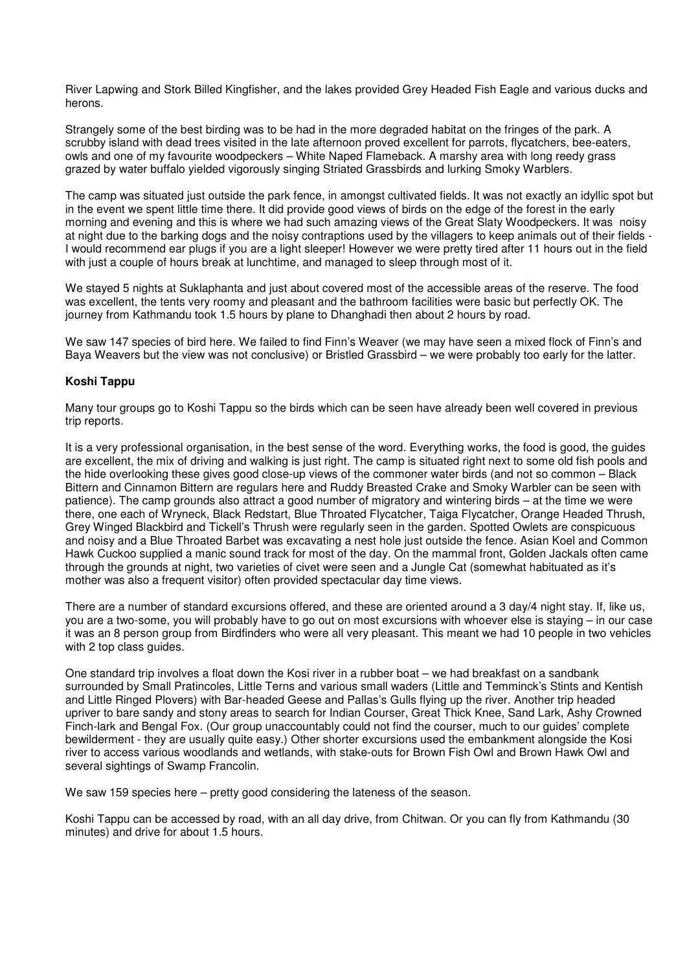River Lapwing and Stork Billed Kingfisher, and the lakes provided Grey Headed Fish Eagle and various ducks and herons.

Strangely some of the best birding was to be had in the more degraded habitat on the fringes of the park. A scrubby island with dead trees visited in the late afternoon proved excellent for parrots, flycatchers, bee-eaters, owls and one of my favourite woodpeckers – White Naped Flameback. A marshy area with long reedy grass grazed by water buffalo yielded vigorously singing Striated Grassbirds and lurking Smoky Warblers.

The camp was situated just outside the park fence, in amongst cultivated fields. It was not exactly an idyllic spot but in the event we spent little time there. It did provide good views of birds on the edge of the forest in the early morning and evening and this is where we had such amazing views of the Great Slaty Woodpeckers. It was noisy at night due to the barking dogs and the noisy contraptions used by the villagers to keep animals out of their fields - I would recommend ear plugs if you are a light sleeper! However we were pretty tired after 11 hours out in the field with just a couple of hours break at lunchtime, and managed to sleep through most of it.

We stayed 5 nights at Suklaphanta and just about covered most of the accessible areas of the reserve. The food was excellent, the tents very roomy and pleasant and the bathroom facilities were basic but perfectly OK. The journey from Kathmandu took 1.5 hours by plane to Dhanghadi then about 2 hours by road.

We saw 147 species of bird here. We failed to find Finn's Weaver (we may have seen a mixed flock of Finn's and Baya Weavers but the view was not conclusive) or Bristled Grassbird – we were probably too early for the latter.

# **Koshi Tappu**

Many tour groups go to Koshi Tappu so the birds which can be seen have already been well covered in previous trip reports.

It is a very professional organisation, in the best sense of the word. Everything works, the food is good, the guides are excellent, the mix of driving and walking is just right. The camp is situated right next to some old fish pools and the hide overlooking these gives good close-up views of the commoner water birds (and not so common – Black Bittern and Cinnamon Bittern are regulars here and Ruddy Breasted Crake and Smoky Warbler can be seen with patience). The camp grounds also attract a good number of migratory and wintering birds – at the time we were there, one each of Wryneck, Black Redstart, Blue Throated Flycatcher, Taiga Flycatcher, Orange Headed Thrush, Grey Winged Blackbird and Tickell's Thrush were regularly seen in the garden. Spotted Owlets are conspicuous and noisy and a Blue Throated Barbet was excavating a nest hole just outside the fence. Asian Koel and Common Hawk Cuckoo supplied a manic sound track for most of the day. On the mammal front, Golden Jackals often came through the grounds at night, two varieties of civet were seen and a Jungle Cat (somewhat habituated as it's mother was also a frequent visitor) often provided spectacular day time views.

There are a number of standard excursions offered, and these are oriented around a 3 day/4 night stay. If, like us, you are a two-some, you will probably have to go out on most excursions with whoever else is staying – in our case it was an 8 person group from Birdfinders who were all very pleasant. This meant we had 10 people in two vehicles with 2 top class guides.

One standard trip involves a float down the Kosi river in a rubber boat – we had breakfast on a sandbank surrounded by Small Pratincoles, Little Terns and various small waders (Little and Temminck's Stints and Kentish and Little Ringed Plovers) with Bar-headed Geese and Pallas's Gulls flying up the river. Another trip headed upriver to bare sandy and stony areas to search for Indian Courser, Great Thick Knee, Sand Lark, Ashy Crowned Finch-lark and Bengal Fox. (Our group unaccountably could not find the courser, much to our guides' complete bewilderment - they are usually quite easy.) Other shorter excursions used the embankment alongside the Kosi river to access various woodlands and wetlands, with stake-outs for Brown Fish Owl and Brown Hawk Owl and several sightings of Swamp Francolin.

We saw 159 species here – pretty good considering the lateness of the season.

Koshi Tappu can be accessed by road, with an all day drive, from Chitwan. Or you can fly from Kathmandu (30 minutes) and drive for about 1.5 hours.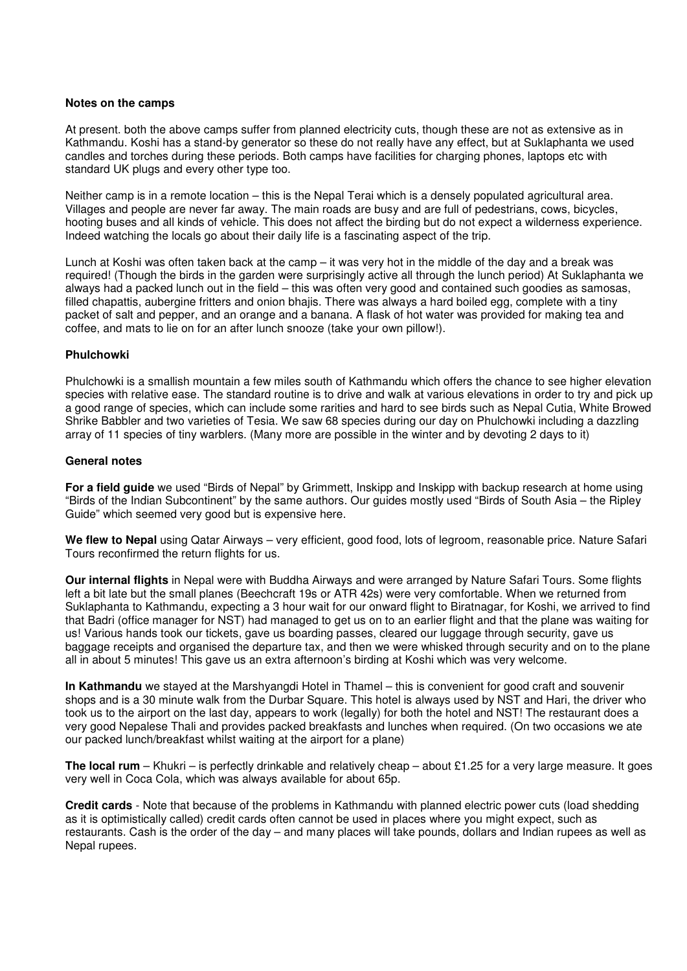#### **Notes on the camps**

At present. both the above camps suffer from planned electricity cuts, though these are not as extensive as in Kathmandu. Koshi has a stand-by generator so these do not really have any effect, but at Suklaphanta we used candles and torches during these periods. Both camps have facilities for charging phones, laptops etc with standard UK plugs and every other type too.

Neither camp is in a remote location – this is the Nepal Terai which is a densely populated agricultural area. Villages and people are never far away. The main roads are busy and are full of pedestrians, cows, bicycles, hooting buses and all kinds of vehicle. This does not affect the birding but do not expect a wilderness experience. Indeed watching the locals go about their daily life is a fascinating aspect of the trip.

Lunch at Koshi was often taken back at the camp – it was very hot in the middle of the day and a break was required! (Though the birds in the garden were surprisingly active all through the lunch period) At Suklaphanta we always had a packed lunch out in the field – this was often very good and contained such goodies as samosas, filled chapattis, aubergine fritters and onion bhajis. There was always a hard boiled egg, complete with a tiny packet of salt and pepper, and an orange and a banana. A flask of hot water was provided for making tea and coffee, and mats to lie on for an after lunch snooze (take your own pillow!).

# **Phulchowki**

Phulchowki is a smallish mountain a few miles south of Kathmandu which offers the chance to see higher elevation species with relative ease. The standard routine is to drive and walk at various elevations in order to try and pick up a good range of species, which can include some rarities and hard to see birds such as Nepal Cutia, White Browed Shrike Babbler and two varieties of Tesia. We saw 68 species during our day on Phulchowki including a dazzling array of 11 species of tiny warblers. (Many more are possible in the winter and by devoting 2 days to it)

### **General notes**

**For a field guide** we used "Birds of Nepal" by Grimmett, Inskipp and Inskipp with backup research at home using "Birds of the Indian Subcontinent" by the same authors. Our guides mostly used "Birds of South Asia – the Ripley Guide" which seemed very good but is expensive here.

**We flew to Nepal** using Qatar Airways – very efficient, good food, lots of legroom, reasonable price. Nature Safari Tours reconfirmed the return flights for us.

**Our internal flights** in Nepal were with Buddha Airways and were arranged by Nature Safari Tours. Some flights left a bit late but the small planes (Beechcraft 19s or ATR 42s) were very comfortable. When we returned from Suklaphanta to Kathmandu, expecting a 3 hour wait for our onward flight to Biratnagar, for Koshi, we arrived to find that Badri (office manager for NST) had managed to get us on to an earlier flight and that the plane was waiting for us! Various hands took our tickets, gave us boarding passes, cleared our luggage through security, gave us baggage receipts and organised the departure tax, and then we were whisked through security and on to the plane all in about 5 minutes! This gave us an extra afternoon's birding at Koshi which was very welcome.

**In Kathmandu** we stayed at the Marshyangdi Hotel in Thamel – this is convenient for good craft and souvenir shops and is a 30 minute walk from the Durbar Square. This hotel is always used by NST and Hari, the driver who took us to the airport on the last day, appears to work (legally) for both the hotel and NST! The restaurant does a very good Nepalese Thali and provides packed breakfasts and lunches when required. (On two occasions we ate our packed lunch/breakfast whilst waiting at the airport for a plane)

**The local rum** – Khukri – is perfectly drinkable and relatively cheap – about £1.25 for a very large measure. It goes very well in Coca Cola, which was always available for about 65p.

**Credit cards** - Note that because of the problems in Kathmandu with planned electric power cuts (load shedding as it is optimistically called) credit cards often cannot be used in places where you might expect, such as restaurants. Cash is the order of the day – and many places will take pounds, dollars and Indian rupees as well as Nepal rupees.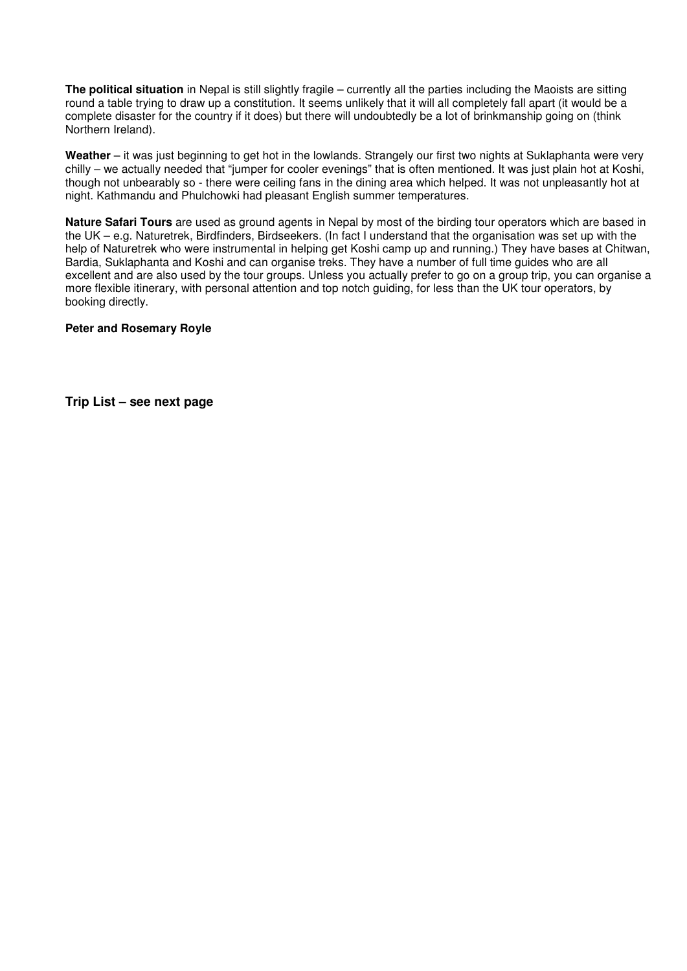**The political situation** in Nepal is still slightly fragile – currently all the parties including the Maoists are sitting round a table trying to draw up a constitution. It seems unlikely that it will all completely fall apart (it would be a complete disaster for the country if it does) but there will undoubtedly be a lot of brinkmanship going on (think Northern Ireland).

**Weather** – it was just beginning to get hot in the lowlands. Strangely our first two nights at Suklaphanta were very chilly – we actually needed that "jumper for cooler evenings" that is often mentioned. It was just plain hot at Koshi, though not unbearably so - there were ceiling fans in the dining area which helped. It was not unpleasantly hot at night. Kathmandu and Phulchowki had pleasant English summer temperatures.

**Nature Safari Tours** are used as ground agents in Nepal by most of the birding tour operators which are based in the UK – e.g. Naturetrek, Birdfinders, Birdseekers. (In fact I understand that the organisation was set up with the help of Naturetrek who were instrumental in helping get Koshi camp up and running.) They have bases at Chitwan, Bardia, Suklaphanta and Koshi and can organise treks. They have a number of full time guides who are all excellent and are also used by the tour groups. Unless you actually prefer to go on a group trip, you can organise a more flexible itinerary, with personal attention and top notch guiding, for less than the UK tour operators, by booking directly.

# **Peter and Rosemary Royle**

**Trip List – see next page**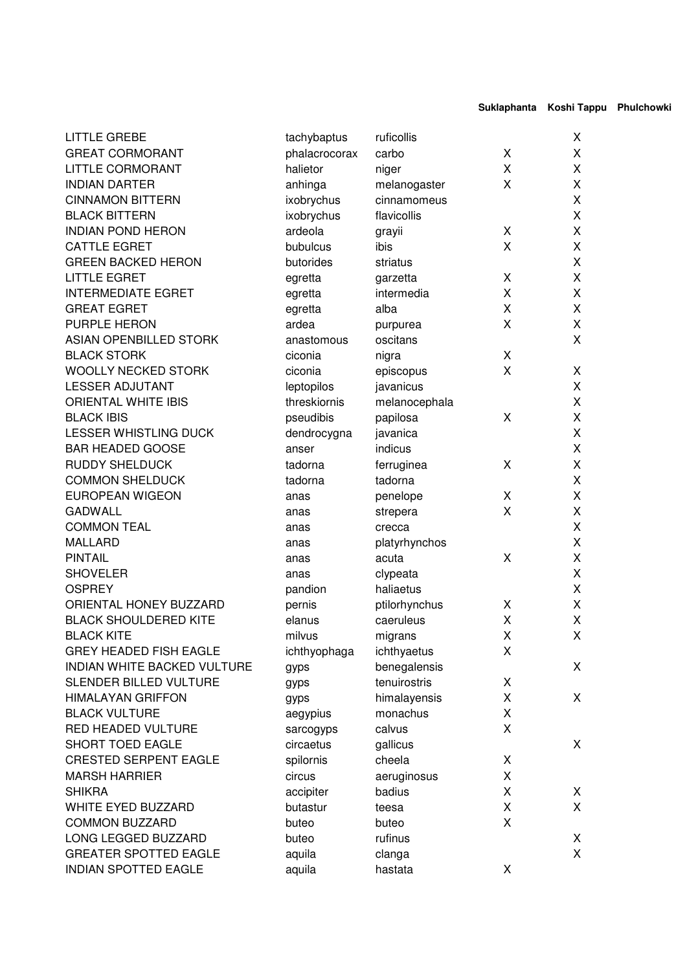Suklaphanta Koshi Tappu Phulchowki

| <b>LITTLE GREBE</b>           | tachybaptus   | ruficollis    |   | X           |
|-------------------------------|---------------|---------------|---|-------------|
| <b>GREAT CORMORANT</b>        | phalacrocorax | carbo         | Χ | X           |
| <b>LITTLE CORMORANT</b>       | halietor      | niger         | X | X           |
| <b>INDIAN DARTER</b>          | anhinga       | melanogaster  | X | X           |
| <b>CINNAMON BITTERN</b>       | ixobrychus    | cinnamomeus   |   | X           |
| <b>BLACK BITTERN</b>          | ixobrychus    | flavicollis   |   | X           |
| <b>INDIAN POND HERON</b>      | ardeola       | grayii        | X | X           |
| <b>CATTLE EGRET</b>           | bubulcus      | ibis          | X | X           |
| <b>GREEN BACKED HERON</b>     | butorides     | striatus      |   | X           |
| <b>LITTLE EGRET</b>           | egretta       | garzetta      | X | X           |
| <b>INTERMEDIATE EGRET</b>     | egretta       | intermedia    | X | X           |
| <b>GREAT EGRET</b>            | egretta       | alba          | X | X           |
| PURPLE HERON                  | ardea         | purpurea      | Χ | X           |
| ASIAN OPENBILLED STORK        | anastomous    | oscitans      |   | X           |
| <b>BLACK STORK</b>            | ciconia       | nigra         | X |             |
| <b>WOOLLY NECKED STORK</b>    | ciconia       | episcopus     | Χ | X           |
| <b>LESSER ADJUTANT</b>        | leptopilos    | javanicus     |   | X           |
| <b>ORIENTAL WHITE IBIS</b>    | threskiornis  | melanocephala |   | X           |
| <b>BLACK IBIS</b>             | pseudibis     | papilosa      | Χ | X           |
| <b>LESSER WHISTLING DUCK</b>  | dendrocygna   | javanica      |   | X           |
| <b>BAR HEADED GOOSE</b>       | anser         | indicus       |   | X           |
| <b>RUDDY SHELDUCK</b>         | tadorna       | ferruginea    | X | X           |
| <b>COMMON SHELDUCK</b>        | tadorna       | tadorna       |   | X           |
| <b>EUROPEAN WIGEON</b>        | anas          |               | X | X           |
| <b>GADWALL</b>                |               | penelope      | X | $\mathsf X$ |
|                               | anas          | strepera      |   | X           |
| <b>COMMON TEAL</b>            | anas          | crecca        |   |             |
| <b>MALLARD</b>                | anas          | platyrhynchos |   | X           |
| <b>PINTAIL</b>                | anas          | acuta         | Χ | X           |
| <b>SHOVELER</b>               | anas          | clypeata      |   | X           |
| <b>OSPREY</b>                 | pandion       | haliaetus     |   | X           |
| ORIENTAL HONEY BUZZARD        | pernis        | ptilorhynchus | X | X           |
| <b>BLACK SHOULDERED KITE</b>  | elanus        | caeruleus     | Χ | $\mathsf X$ |
| <b>BLACK KITE</b>             | milvus        | migrans       | Χ | X           |
| <b>GREY HEADED FISH EAGLE</b> | ichthyophaga  | ichthyaetus   | X |             |
| INDIAN WHITE BACKED VULTURE   | gyps          | benegalensis  |   | X           |
| SLENDER BILLED VULTURE        | gyps          | tenuirostris  | X |             |
| <b>HIMALAYAN GRIFFON</b>      | gyps          | himalayensis  | Χ | X           |
| <b>BLACK VULTURE</b>          | aegypius      | monachus      | X |             |
| RED HEADED VULTURE            | sarcogyps     | calvus        | X |             |
| SHORT TOED EAGLE              | circaetus     | gallicus      |   | X           |
| <b>CRESTED SERPENT EAGLE</b>  | spilornis     | cheela        | X |             |
| <b>MARSH HARRIER</b>          | circus        | aeruginosus   | X |             |
| <b>SHIKRA</b>                 | accipiter     | badius        | X | X           |
| WHITE EYED BUZZARD            | butastur      | teesa         | X | X           |
| <b>COMMON BUZZARD</b>         | buteo         | buteo         | X |             |
| LONG LEGGED BUZZARD           | buteo         | rufinus       |   | X           |
| <b>GREATER SPOTTED EAGLE</b>  | aquila        | clanga        |   | X           |
| <b>INDIAN SPOTTED EAGLE</b>   | aquila        | hastata       | X |             |
|                               |               |               |   |             |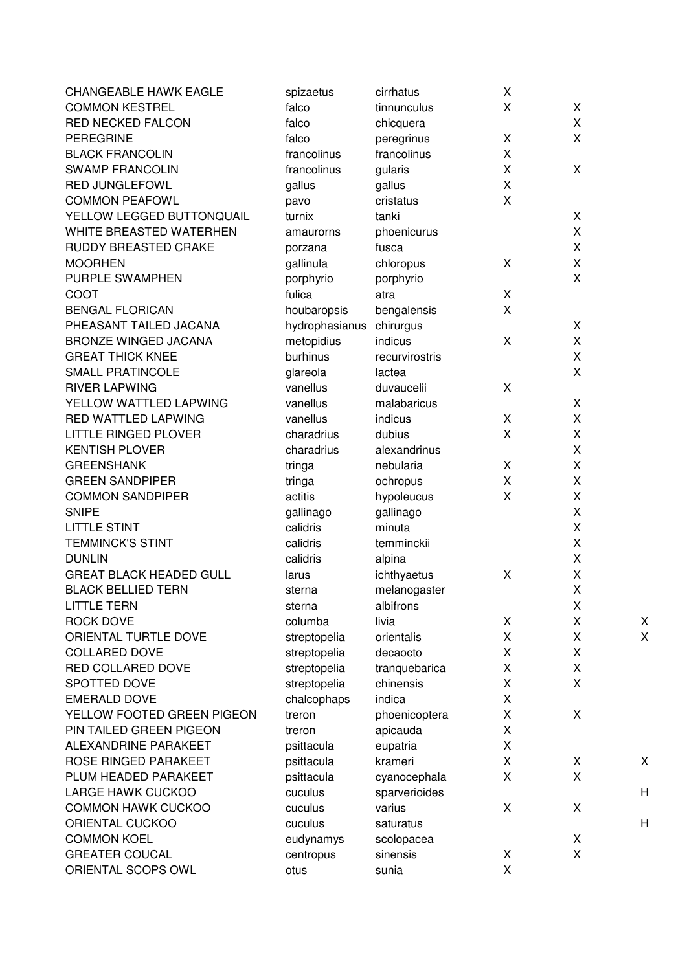| <b>CHANGEABLE HAWK EAGLE</b>           | spizaetus             | cirrhatus              | X |        |   |
|----------------------------------------|-----------------------|------------------------|---|--------|---|
| <b>COMMON KESTREL</b>                  | falco                 | tinnunculus            | X | X      |   |
| <b>RED NECKED FALCON</b>               | falco                 | chicquera              |   | X      |   |
| <b>PEREGRINE</b>                       | falco                 | peregrinus             | X | X      |   |
| <b>BLACK FRANCOLIN</b>                 | francolinus           | francolinus            | X |        |   |
| <b>SWAMP FRANCOLIN</b>                 | francolinus           | gularis                | X | X      |   |
| <b>RED JUNGLEFOWL</b>                  | gallus                | gallus                 | X |        |   |
| <b>COMMON PEAFOWL</b>                  | pavo                  | cristatus              | X |        |   |
| YELLOW LEGGED BUTTONQUAIL              | turnix                | tanki                  |   | X      |   |
| WHITE BREASTED WATERHEN                | amaurorns             | phoenicurus            |   | X      |   |
| RUDDY BREASTED CRAKE                   | porzana               | fusca                  |   | X      |   |
| <b>MOORHEN</b>                         | gallinula             | chloropus              | X | X      |   |
| PURPLE SWAMPHEN                        | porphyrio             | porphyrio              |   | X      |   |
| COOT                                   | fulica                | atra                   | X |        |   |
| <b>BENGAL FLORICAN</b>                 | houbaropsis           | bengalensis            | X |        |   |
| PHEASANT TAILED JACANA                 | hydrophasianus        | chirurgus              |   | X      |   |
| <b>BRONZE WINGED JACANA</b>            | metopidius            | indicus                | X | X      |   |
| <b>GREAT THICK KNEE</b>                | burhinus              | recurvirostris         |   | X      |   |
| <b>SMALL PRATINCOLE</b>                | glareola              | lactea                 |   | X      |   |
| <b>RIVER LAPWING</b>                   | vanellus              | duvaucelii             | X |        |   |
| YELLOW WATTLED LAPWING                 | vanellus              | malabaricus            |   | X      |   |
| RED WATTLED LAPWING                    | vanellus              | indicus                | X | X      |   |
| <b>LITTLE RINGED PLOVER</b>            | charadrius            | dubius                 | X | X      |   |
| <b>KENTISH PLOVER</b>                  | charadrius            | alexandrinus           |   | X      |   |
| <b>GREENSHANK</b>                      |                       | nebularia              | X | X      |   |
| <b>GREEN SANDPIPER</b>                 | tringa                |                        | X | X      |   |
| <b>COMMON SANDPIPER</b>                | tringa<br>actitis     | ochropus<br>hypoleucus | X | X      |   |
| <b>SNIPE</b>                           |                       |                        |   | X      |   |
| <b>LITTLE STINT</b>                    | gallinago<br>calidris | gallinago<br>minuta    |   | X      |   |
| <b>TEMMINCK'S STINT</b>                | calidris              | temminckii             |   | X      |   |
| <b>DUNLIN</b>                          | calidris              |                        |   | X      |   |
| <b>GREAT BLACK HEADED GULL</b>         |                       | alpina                 | X | X      |   |
| <b>BLACK BELLIED TERN</b>              | larus                 | ichthyaetus            |   | Χ      |   |
|                                        | sterna                | melanogaster           |   |        |   |
| <b>LITTLE TERN</b><br><b>ROCK DOVE</b> | sterna                | albifrons<br>livia     |   | Χ      |   |
|                                        | columba               |                        | X | X<br>X | X |
| ORIENTAL TURTLE DOVE                   | streptopelia          | orientalis             | Χ | X      | X |
| <b>COLLARED DOVE</b>                   | streptopelia          | decaocto               | X | X      |   |
| RED COLLARED DOVE                      | streptopelia          | tranquebarica          | X |        |   |
| SPOTTED DOVE                           | streptopelia          | chinensis              | X | X      |   |
| <b>EMERALD DOVE</b>                    | chalcophaps           | indica                 | Χ | X      |   |
| YELLOW FOOTED GREEN PIGEON             | treron                | phoenicoptera          | X |        |   |
| PIN TAILED GREEN PIGEON                | treron                | apicauda               | X |        |   |
| ALEXANDRINE PARAKEET                   | psittacula            | eupatria               | X |        |   |
| ROSE RINGED PARAKEET                   | psittacula            | krameri                | Χ | X      | X |
| PLUM HEADED PARAKEET                   | psittacula            | cyanocephala           | X | X      |   |
| LARGE HAWK CUCKOO                      | cuculus               | sparverioides          |   |        | H |
| <b>COMMON HAWK CUCKOO</b>              | cuculus               | varius                 | X | X      |   |
| ORIENTAL CUCKOO                        | cuculus               | saturatus              |   |        | H |
| <b>COMMON KOEL</b>                     | eudynamys             | scolopacea             |   | X      |   |
| <b>GREATER COUCAL</b>                  | centropus             | sinensis               | X | X      |   |
| ORIENTAL SCOPS OWL                     | otus                  | sunia                  | X |        |   |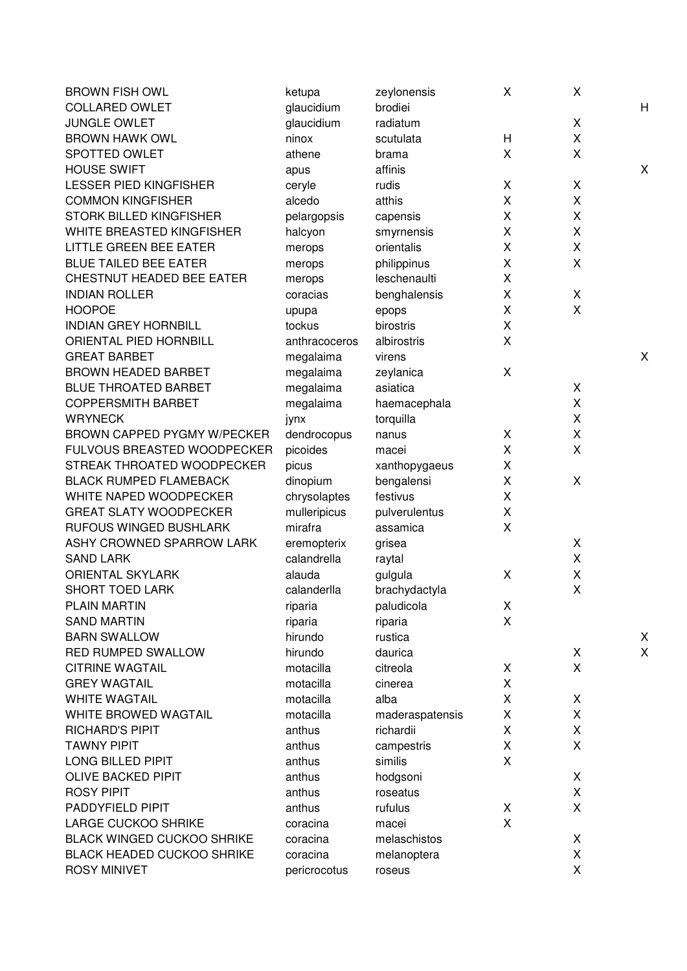| <b>BROWN FISH OWL</b>             | ketupa             | zeylonensis        | X | X |        |
|-----------------------------------|--------------------|--------------------|---|---|--------|
| <b>COLLARED OWLET</b>             | glaucidium         | brodiei            |   |   | H      |
| <b>JUNGLE OWLET</b>               | glaucidium         | radiatum           |   | X |        |
| <b>BROWN HAWK OWL</b>             | ninox              | scutulata          | H | X |        |
| SPOTTED OWLET                     | athene             | brama              | X | X |        |
| <b>HOUSE SWIFT</b>                | apus               | affinis            |   |   | X      |
| <b>LESSER PIED KINGFISHER</b>     | ceryle             | rudis              | X | X |        |
| <b>COMMON KINGFISHER</b>          | alcedo             | atthis             | X | X |        |
| STORK BILLED KINGFISHER           | pelargopsis        | capensis           | X | X |        |
| WHITE BREASTED KINGFISHER         | halcyon            | smyrnensis         | X | X |        |
| <b>LITTLE GREEN BEE EATER</b>     | merops             | orientalis         | Χ | X |        |
| <b>BLUE TAILED BEE EATER</b>      | merops             | philippinus        | Χ | X |        |
| CHESTNUT HEADED BEE EATER         | merops             | leschenaulti       | Χ |   |        |
| <b>INDIAN ROLLER</b>              | coracias           | benghalensis       | X | X |        |
| <b>HOOPOE</b>                     | upupa              | epops              | Χ | X |        |
| <b>INDIAN GREY HORNBILL</b>       | tockus             | birostris          | X |   |        |
| ORIENTAL PIED HORNBILL            | anthracoceros      | albirostris        | X |   |        |
| <b>GREAT BARBET</b>               | megalaima          | virens             |   |   | X      |
| <b>BROWN HEADED BARBET</b>        | megalaima          | zeylanica          | X |   |        |
| <b>BLUE THROATED BARBET</b>       | megalaima          | asiatica           |   | X |        |
| <b>COPPERSMITH BARBET</b>         | megalaima          | haemacephala       |   | X |        |
| <b>WRYNECK</b>                    | jynx               | torquilla          |   | X |        |
| BROWN CAPPED PYGMY W/PECKER       | dendrocopus        | nanus              | X | X |        |
| FULVOUS BREASTED WOODPECKER       | picoides           | macei              | X | X |        |
| STREAK THROATED WOODPECKER        | picus              | xanthopygaeus      | X |   |        |
| <b>BLACK RUMPED FLAMEBACK</b>     | dinopium           | bengalensi         | X | X |        |
| WHITE NAPED WOODPECKER            | chrysolaptes       | festivus           | X |   |        |
| <b>GREAT SLATY WOODPECKER</b>     | mulleripicus       | pulverulentus      | Χ |   |        |
| RUFOUS WINGED BUSHLARK            | mirafra            | assamica           | X |   |        |
| ASHY CROWNED SPARROW LARK         | eremopterix        | grisea             |   | X |        |
| <b>SAND LARK</b>                  | calandrella        | raytal             |   | X |        |
| <b>ORIENTAL SKYLARK</b>           | alauda             | gulgula            | X | X |        |
| <b>SHORT TOED LARK</b>            | calanderlla        | brachydactyla      |   | X |        |
| PLAIN MARTIN                      |                    | paludicola         | X |   |        |
| <b>SAND MARTIN</b>                | riparia            |                    | X |   |        |
| <b>BARN SWALLOW</b>               | riparia<br>hirundo | riparia<br>rustica |   |   |        |
| RED RUMPED SWALLOW                | hirundo            | daurica            |   | X | X<br>X |
| <b>CITRINE WAGTAIL</b>            | motacilla          | citreola           | X | X |        |
| <b>GREY WAGTAIL</b>               | motacilla          |                    | X |   |        |
|                                   |                    | cinerea            |   |   |        |
| <b>WHITE WAGTAIL</b>              | motacilla          | alba               | X | X |        |
| WHITE BROWED WAGTAIL              | motacilla          | maderaspatensis    | X | X |        |
| <b>RICHARD'S PIPIT</b>            | anthus             | richardii          | X | X |        |
| <b>TAWNY PIPIT</b>                | anthus             | campestris         | X | X |        |
| LONG BILLED PIPIT                 | anthus             | similis            | X |   |        |
| <b>OLIVE BACKED PIPIT</b>         | anthus             | hodgsoni           |   | X |        |
| <b>ROSY PIPIT</b>                 | anthus             | roseatus           |   | X |        |
| PADDYFIELD PIPIT                  | anthus             | rufulus            | X | X |        |
| <b>LARGE CUCKOO SHRIKE</b>        | coracina           | macei              | X |   |        |
| <b>BLACK WINGED CUCKOO SHRIKE</b> | coracina           | melaschistos       |   | X |        |
| <b>BLACK HEADED CUCKOO SHRIKE</b> | coracina           | melanoptera        |   | X |        |
| <b>ROSY MINIVET</b>               | pericrocotus       | roseus             |   | X |        |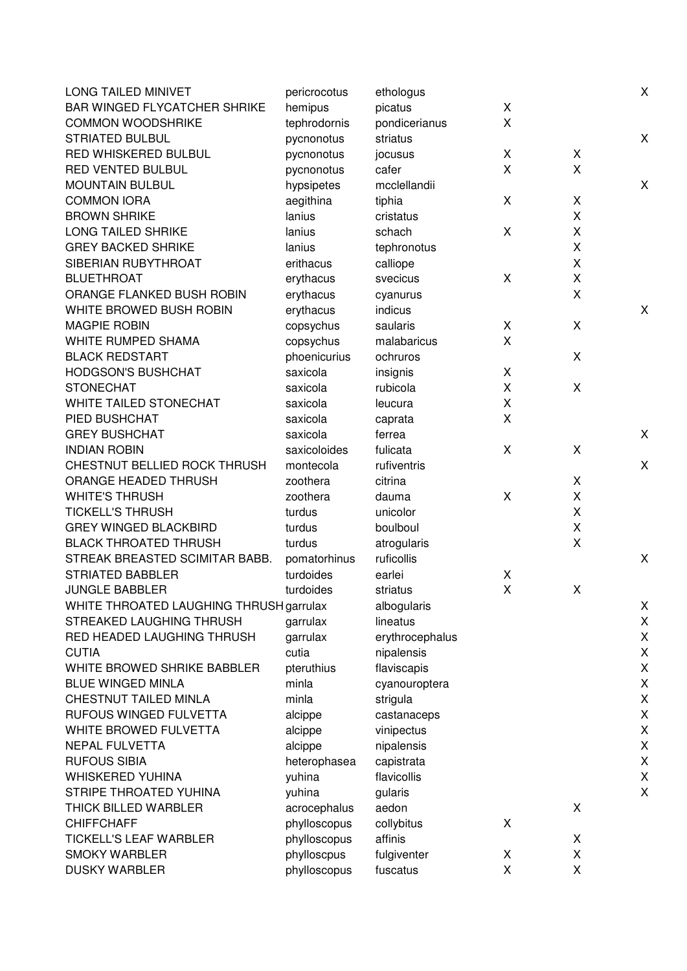| <b>LONG TAILED MINIVET</b>              | pericrocotus | ethologus         |   |                    | X |
|-----------------------------------------|--------------|-------------------|---|--------------------|---|
| <b>BAR WINGED FLYCATCHER SHRIKE</b>     | hemipus      | picatus           | X |                    |   |
| <b>COMMON WOODSHRIKE</b>                | tephrodornis | pondicerianus     | X |                    |   |
| <b>STRIATED BULBUL</b>                  | pycnonotus   | striatus          |   |                    | X |
| RED WHISKERED BULBUL                    | pycnonotus   | jocusus           | X | Χ                  |   |
| RED VENTED BULBUL                       | pycnonotus   | cafer             | X | X                  |   |
| <b>MOUNTAIN BULBUL</b>                  | hypsipetes   | mcclellandii      |   |                    | Χ |
| <b>COMMON IORA</b>                      | aegithina    | tiphia            | X | Χ                  |   |
| <b>BROWN SHRIKE</b>                     | lanius       | cristatus         |   | Χ                  |   |
| <b>LONG TAILED SHRIKE</b>               | lanius       | schach            | X | X                  |   |
| <b>GREY BACKED SHRIKE</b>               | lanius       | tephronotus       |   | Χ                  |   |
| SIBERIAN RUBYTHROAT                     | erithacus    | calliope          |   | X                  |   |
| <b>BLUETHROAT</b>                       | erythacus    | svecicus          | X | $\pmb{\mathsf{X}}$ |   |
| ORANGE FLANKED BUSH ROBIN               | erythacus    | cyanurus          |   | X                  |   |
| WHITE BROWED BUSH ROBIN                 | erythacus    | indicus           |   |                    | Χ |
| <b>MAGPIE ROBIN</b>                     | copsychus    | saularis          | X | X                  |   |
| WHITE RUMPED SHAMA                      | copsychus    | malabaricus       | X |                    |   |
| <b>BLACK REDSTART</b>                   | phoenicurius | ochruros          |   | X                  |   |
| <b>HODGSON'S BUSHCHAT</b>               | saxicola     | insignis          | X |                    |   |
| <b>STONECHAT</b>                        | saxicola     | rubicola          | X | X                  |   |
| WHITE TAILED STONECHAT                  | saxicola     | leucura           | X |                    |   |
| PIED BUSHCHAT                           | saxicola     |                   | X |                    |   |
| <b>GREY BUSHCHAT</b>                    | saxicola     | caprata<br>ferrea |   |                    | Χ |
| <b>INDIAN ROBIN</b>                     | saxicoloides | fulicata          | X | X                  |   |
| CHESTNUT BELLIED ROCK THRUSH            | montecola    | rufiventris       |   |                    | X |
|                                         | zoothera     |                   |   |                    |   |
| ORANGE HEADED THRUSH                    |              | citrina           |   | Χ                  |   |
| <b>WHITE'S THRUSH</b>                   | zoothera     | dauma             | X | Χ                  |   |
| <b>TICKELL'S THRUSH</b>                 | turdus       | unicolor          |   | X                  |   |
| <b>GREY WINGED BLACKBIRD</b>            | turdus       | boulboul          |   | Χ                  |   |
| <b>BLACK THROATED THRUSH</b>            | turdus       | atrogularis       |   | X                  |   |
| STREAK BREASTED SCIMITAR BABB.          | pomatorhinus | ruficollis        |   |                    | Χ |
| <b>STRIATED BABBLER</b>                 | turdoides    | earlei            | X |                    |   |
| <b>JUNGLE BABBLER</b>                   | turdoides    | striatus          | X | X                  |   |
| WHITE THROATED LAUGHING THRUSH garrulax |              | albogularis       |   |                    | X |
| STREAKED LAUGHING THRUSH                | garrulax     | lineatus          |   |                    | Χ |
| RED HEADED LAUGHING THRUSH              | garrulax     | erythrocephalus   |   |                    | X |
| <b>CUTIA</b>                            | cutia        | nipalensis        |   |                    | X |
| WHITE BROWED SHRIKE BABBLER             | pteruthius   | flaviscapis       |   |                    | Χ |
| <b>BLUE WINGED MINLA</b>                | minla        | cyanouroptera     |   |                    | X |
| CHESTNUT TAILED MINLA                   | minla        | strigula          |   |                    | Χ |
| RUFOUS WINGED FULVETTA                  | alcippe      | castanaceps       |   |                    | X |
| WHITE BROWED FULVETTA                   | alcippe      | vinipectus        |   |                    | Χ |
| <b>NEPAL FULVETTA</b>                   | alcippe      | nipalensis        |   |                    | X |
| <b>RUFOUS SIBIA</b>                     | heterophasea | capistrata        |   |                    | Χ |
| <b>WHISKERED YUHINA</b>                 | yuhina       | flavicollis       |   |                    | X |
| STRIPE THROATED YUHINA                  | yuhina       | gularis           |   |                    | X |
| THICK BILLED WARBLER                    | acrocephalus | aedon             |   | X                  |   |
| <b>CHIFFCHAFF</b>                       | phylloscopus | collybitus        | X |                    |   |
| <b>TICKELL'S LEAF WARBLER</b>           | phylloscopus | affinis           |   | X                  |   |
| <b>SMOKY WARBLER</b>                    | phylloscpus  | fulgiventer       | X | Χ                  |   |
| <b>DUSKY WARBLER</b>                    | phylloscopus | fuscatus          | X | X                  |   |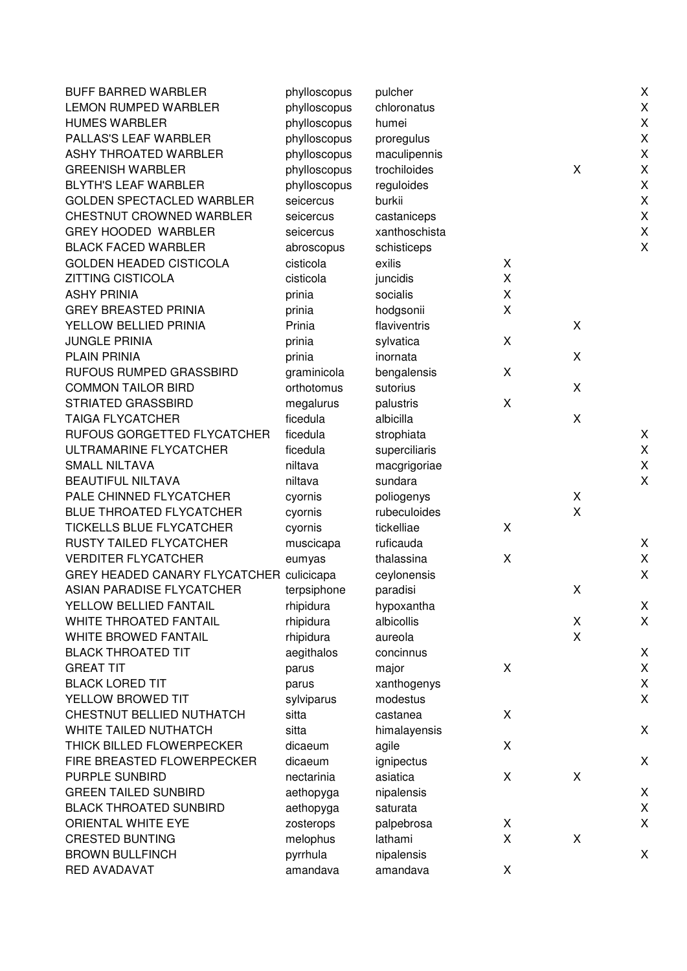| <b>BUFF BARRED WARBLER</b>               | phylloscopus | pulcher       |   |             | $\mathsf X$        |
|------------------------------------------|--------------|---------------|---|-------------|--------------------|
| <b>LEMON RUMPED WARBLER</b>              | phylloscopus | chloronatus   |   |             | $\mathsf X$        |
| <b>HUMES WARBLER</b>                     | phylloscopus | humei         |   |             | $\mathsf X$        |
| PALLAS'S LEAF WARBLER                    | phylloscopus | proregulus    |   |             | X                  |
| ASHY THROATED WARBLER                    | phylloscopus | maculipennis  |   |             | $\pmb{\mathsf{X}}$ |
| <b>GREENISH WARBLER</b>                  | phylloscopus | trochiloides  |   | X           | X                  |
| <b>BLYTH'S LEAF WARBLER</b>              | phylloscopus | reguloides    |   |             | X                  |
| <b>GOLDEN SPECTACLED WARBLER</b>         | seicercus    | burkii        |   |             | $\pmb{\mathsf{X}}$ |
| CHESTNUT CROWNED WARBLER                 | seicercus    | castaniceps   |   |             | $\pmb{\mathsf{X}}$ |
| <b>GREY HOODED WARBLER</b>               | seicercus    | xanthoschista |   |             | $\mathsf X$        |
| <b>BLACK FACED WARBLER</b>               | abroscopus   | schisticeps   |   |             | $\pmb{\mathsf{X}}$ |
| <b>GOLDEN HEADED CISTICOLA</b>           | cisticola    | exilis        | X |             |                    |
| <b>ZITTING CISTICOLA</b>                 | cisticola    | juncidis      | X |             |                    |
| <b>ASHY PRINIA</b>                       | prinia       | socialis      | Χ |             |                    |
| <b>GREY BREASTED PRINIA</b>              | prinia       | hodgsonii     | X |             |                    |
| YELLOW BELLIED PRINIA                    | Prinia       | flaviventris  |   | X           |                    |
| <b>JUNGLE PRINIA</b>                     | prinia       | sylvatica     | Χ |             |                    |
| <b>PLAIN PRINIA</b>                      | prinia       | inornata      |   | X           |                    |
| RUFOUS RUMPED GRASSBIRD                  | graminicola  | bengalensis   | X |             |                    |
| <b>COMMON TAILOR BIRD</b>                | orthotomus   | sutorius      |   | X           |                    |
| STRIATED GRASSBIRD                       | megalurus    | palustris     | X |             |                    |
| <b>TAIGA FLYCATCHER</b>                  | ficedula     | albicilla     |   | X           |                    |
| RUFOUS GORGETTED FLYCATCHER              | ficedula     | strophiata    |   |             | Χ                  |
| ULTRAMARINE FLYCATCHER                   | ficedula     | superciliaris |   |             | $\mathsf X$        |
| <b>SMALL NILTAVA</b>                     | niltava      | macgrigoriae  |   |             | $\pmb{\mathsf{X}}$ |
| <b>BEAUTIFUL NILTAVA</b>                 | niltava      | sundara       |   |             | X                  |
| PALE CHINNED FLYCATCHER                  | cyornis      | poliogenys    |   | X           |                    |
| <b>BLUE THROATED FLYCATCHER</b>          | cyornis      | rubeculoides  |   | X           |                    |
| TICKELLS BLUE FLYCATCHER                 | cyornis      | tickelliae    | X |             |                    |
| RUSTY TAILED FLYCATCHER                  | muscicapa    | ruficauda     |   |             | X                  |
| <b>VERDITER FLYCATCHER</b>               | eumyas       | thalassina    | X |             | $\mathsf X$        |
| GREY HEADED CANARY FLYCATCHER culicicapa |              | ceylonensis   |   |             | Χ                  |
| ASIAN PARADISE FLYCATCHER                | terpsiphone  | paradisi      |   | X           |                    |
| YELLOW BELLIED FANTAIL                   | rhipidura    | hypoxantha    |   |             | Χ                  |
| WHITE THROATED FANTAIL                   | rhipidura    | albicollis    |   | X           | $\mathsf X$        |
| <b>WHITE BROWED FANTAIL</b>              | rhipidura    | aureola       |   | X           |                    |
| <b>BLACK THROATED TIT</b>                | aegithalos   | concinnus     |   |             | Χ                  |
| <b>GREAT TIT</b>                         | parus        | major         | Χ |             | $\mathsf X$        |
| <b>BLACK LORED TIT</b>                   | parus        | xanthogenys   |   |             | Χ                  |
| YELLOW BROWED TIT                        | sylviparus   | modestus      |   |             | X                  |
| CHESTNUT BELLIED NUTHATCH                | sitta        | castanea      | X |             |                    |
| WHITE TAILED NUTHATCH                    | sitta        | himalayensis  |   |             | $\mathsf X$        |
| THICK BILLED FLOWERPECKER                | dicaeum      | agile         | X |             |                    |
| FIRE BREASTED FLOWERPECKER               | dicaeum      | ignipectus    |   |             | X                  |
| PURPLE SUNBIRD                           | nectarinia   | asiatica      | X | X           |                    |
| <b>GREEN TAILED SUNBIRD</b>              | aethopyga    | nipalensis    |   |             | X                  |
| <b>BLACK THROATED SUNBIRD</b>            | aethopyga    | saturata      |   |             | $\mathsf X$        |
| ORIENTAL WHITE EYE                       | zosterops    | palpebrosa    | X |             | Χ                  |
| <b>CRESTED BUNTING</b>                   | melophus     | lathami       | X | $\mathsf X$ |                    |
| <b>BROWN BULLFINCH</b>                   | pyrrhula     | nipalensis    |   |             | X                  |
| RED AVADAVAT                             | amandava     | amandava      | X |             |                    |
|                                          |              |               |   |             |                    |